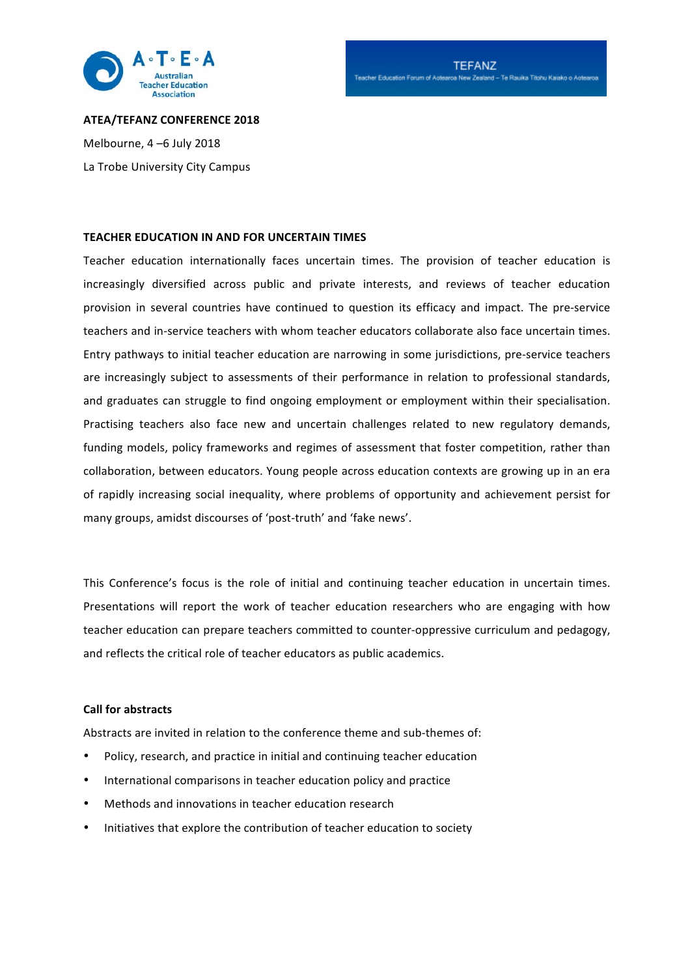

### **ATEA/TEFANZ CONFERENCE 2018**

Melbourne, 4 –6 July 2018 La Trobe University City Campus

### **TEACHER EDUCATION IN AND FOR UNCERTAIN TIMES**

Teacher education internationally faces uncertain times. The provision of teacher education is increasingly diversified across public and private interests, and reviews of teacher education provision in several countries have continued to question its efficacy and impact. The pre-service teachers and in-service teachers with whom teacher educators collaborate also face uncertain times. Entry pathways to initial teacher education are narrowing in some jurisdictions, pre-service teachers are increasingly subject to assessments of their performance in relation to professional standards, and graduates can struggle to find ongoing employment or employment within their specialisation. Practising teachers also face new and uncertain challenges related to new regulatory demands, funding models, policy frameworks and regimes of assessment that foster competition, rather than collaboration, between educators. Young people across education contexts are growing up in an era of rapidly increasing social inequality, where problems of opportunity and achievement persist for many groups, amidst discourses of 'post-truth' and 'fake news'.

This Conference's focus is the role of initial and continuing teacher education in uncertain times. Presentations will report the work of teacher education researchers who are engaging with how teacher education can prepare teachers committed to counter-oppressive curriculum and pedagogy, and reflects the critical role of teacher educators as public academics.

# **Call for abstracts**

Abstracts are invited in relation to the conference theme and sub-themes of:

- Policy, research, and practice in initial and continuing teacher education
- International comparisons in teacher education policy and practice
- Methods and innovations in teacher education research
- Initiatives that explore the contribution of teacher education to society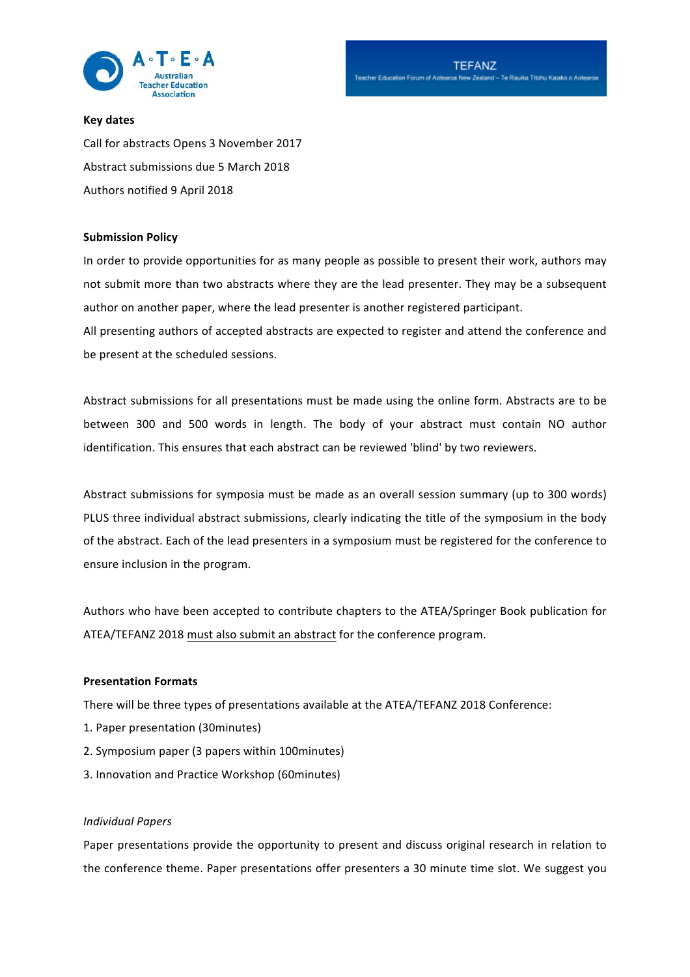

# **Key dates**

Call for abstracts Opens 3 November 2017 Abstract submissions due 5 March 2018 Authors notified 9 April 2018

### **Submission Policy**

In order to provide opportunities for as many people as possible to present their work, authors may not submit more than two abstracts where they are the lead presenter. They may be a subsequent author on another paper, where the lead presenter is another registered participant.

All presenting authors of accepted abstracts are expected to register and attend the conference and be present at the scheduled sessions.

Abstract submissions for all presentations must be made using the online form. Abstracts are to be between 300 and 500 words in length. The body of your abstract must contain NO author identification. This ensures that each abstract can be reviewed 'blind' by two reviewers.

Abstract submissions for symposia must be made as an overall session summary (up to 300 words) PLUS three individual abstract submissions, clearly indicating the title of the symposium in the body of the abstract. Each of the lead presenters in a symposium must be registered for the conference to ensure inclusion in the program.

Authors who have been accepted to contribute chapters to the ATEA/Springer Book publication for ATEA/TEFANZ 2018 must also submit an abstract for the conference program.

# **Presentation Formats**

There will be three types of presentations available at the ATEA/TEFANZ 2018 Conference:

- 1. Paper presentation (30minutes)
- 2. Symposium paper (3 papers within 100minutes)
- 3. Innovation and Practice Workshop (60minutes)

### *Individual Papers*

Paper presentations provide the opportunity to present and discuss original research in relation to the conference theme. Paper presentations offer presenters a 30 minute time slot. We suggest you